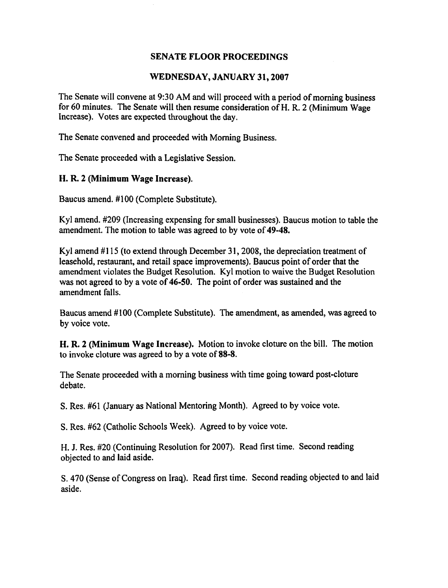#### WEDNESDAY, JANUARY **31,2007**

The Senate will convene at 9:30 AM and will proceed with a period of morning business for 60 minutes. The Senate will then resume consideration of H. R. 2 (Minimum Wage Increase). Votes are expected throughout the day.

The Senate convened and proceeded with Morning Business.

The Senate proceeded with a Legislative Session.

## H. R. 2 (Minimum Wage Increase).

Baucus amend. #I00 (Complete Substitute).

Kyl amend. #209 (Increasing expensing for small businesses). Baucus motion to table the amendment. The motion to table was agreed to by vote of **49-48.** 

Kyl amend #115 (to extend through December 31, 2008, the depreciation treatment of leasehold, restaurant, and retail space improvements). Baucus point of order that the amendment violates the Budget Resolution. Kyl motion to waive the Budget Resolution was not agreed to by a vote of 46-50. The point of order was sustained and the amendment falls.

Baucus amend #I00 (Complete Substitute). The amendment, as amended, was agreed to by voice vote.

H. R. **2** (Minimum Wage Increase). Motion to invoke cloture on the bill. The motion to invoke cloture was agreed to by a vote of **88-8.** 

The Senate proceeded with a morning business with time going toward post-cloture debate.

S. Res. #61 (January as National Mentoring Month). Agreed to by voice vote.

S. Res. #62 (Catholic Schools Week). Agreed to by voice vote.

H. J. Res. #20 (Continuing Resolution for 2007). Read first time. Second reading objected to and laid aside.

S. 470 (Sense of Congress on Iraq). Read first time. Second reading objected to and laid aside.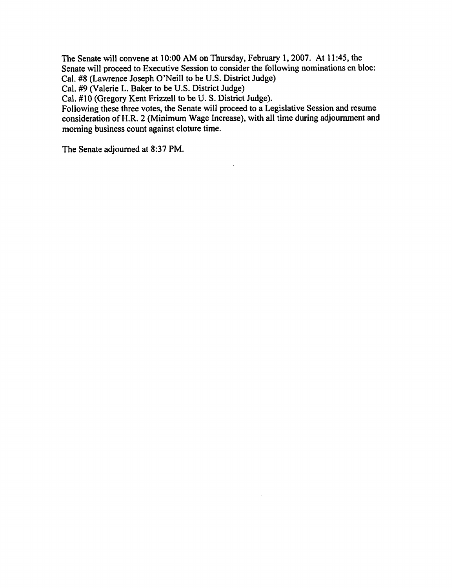The Senate will convene at 10:OO AM on Thursday, February 1,2007, At 1 1 **:45,** the Senate will proceed to Executive Session to consider the following nominations en bloc: Cal. **#8** (Lawrence Joseph O'Neill to be U.S. District Judge)

Cal. **#9** (Valerie L. Baker to be U.S. District Judge)

Cal. #10 (Gregory Kent Frizzell to be U. S. District Judge).

Following these three votes, the Senate will proceed to a Legislative Session **and** resume consideration of H.R. 2 (Minimum Wage Increase), with all time during adjournment and morning business count against cloture time.

The Senate adjourned at **8:37** PM.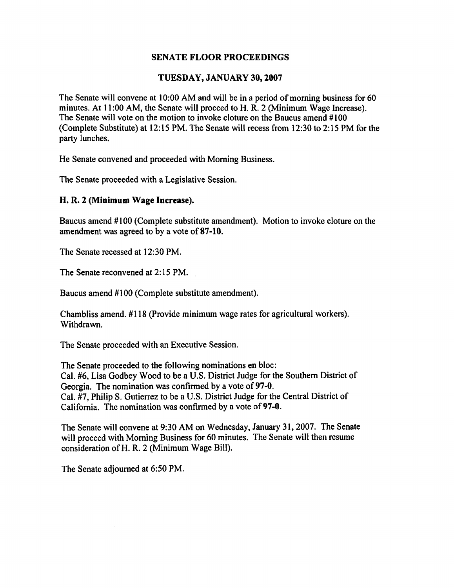#### **TUESDAY, JANUARY 30,2007**

The Senate will convene at 10:OO AM and will be in a period of morning business for 60 minutes. At 1 1 :00 AM, the Senate will proceed to H. R. 2 (Minimum Wage Increase). The Senate will vote on the motion to invoke cloture on the Baucus amend #100 (Complete Substitute) at 12:15 PM. The Senate will recess from 12:30 to 2:15 PM for the party lunches.

He Senate convened and proceeded with Morning Business.

The Senate proceeded with a Legislative Session.

## **H. R. 2 (Minimum Wage Increase),**

Baucus amend #100 (Complete substitute amendment). Motion to invoke cloture on the amendment was agreed to by a vote of **87-10.** 

The Senate recessed at 12:30 PM.

The Senate reconvened at 2: 15 PM.

Baucus amend #100 (Complete substitute amendment).

Chambliss amend. # 1 18 (Provide minimum wage rates for agricultural workers). Withdrawn.

The Senate proceeded with an Executive Session.

The Senate proceeded to the following nominations en bloc: Cal. #6, Lisa Godbey Wood to be a U.S. District Judge for the Southern District of Georgia. The nomination was confirmed by a vote of 97-0. Cal. #7, Philip S. Gutierrez to be a U.S. District Judge for the Central District of California. The nomination was confirmed by a vote of **97-0.** 

The Senate will convene at 9:30 AM on Wednesday, January 31, 2007. The Senate will proceed with Morning Business for 60 minutes. The Senate will then resume consideration of H. R. 2 (Minimum Wage Bill).

The Senate adjourned at 6:50 PM.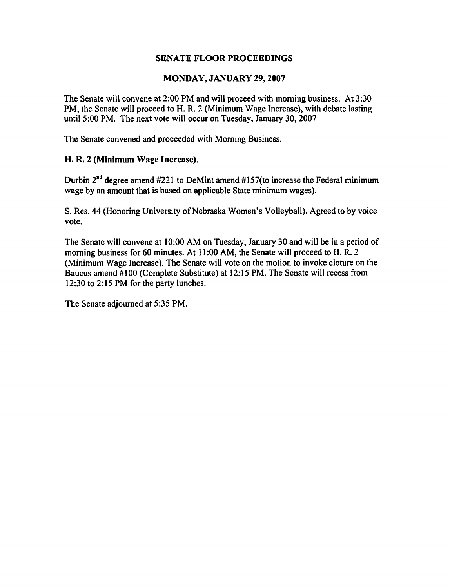### **MONDAY, JANUARY 29,2007**

The Senate will convene at 2:00 PM and will proceed with morning business. At 3:30 PM, the Senate will proceed to H. R. 2 (Minimum Wage Increase), with debate lasting until 5:00 PM. The next vote will occur on Tuesday, January 30,2007

The Senate convened and proceeded with Morning Business.

## **H. R. 2 (Minimum** Wage Increase).

Durbin  $2<sup>nd</sup>$  degree amend #221 to DeMint amend #157(to increase the Federal minimum wage by an amount that is based on applicable State minimum wages).

S. Res. 44 (Honoring University of Nebraska Women's Volleyball). Agreed to by voice vote.

The Senate will convene at 10:OO AM on Tuesday, January 30 and will be in a period of morning business for 60 minutes. At 11:00 AM, the Senate will proceed to H.R. 2 (Minimum Wage Increase). The Senate will vote on the motion to invoke cloture on the Baucus amend #lo0 (Complete Substitute) at 12: 15 PM. The Senate will recess from 12:30 to 2: 15 PM for the party lunches.

The Senate adjourned at 5:35 PM.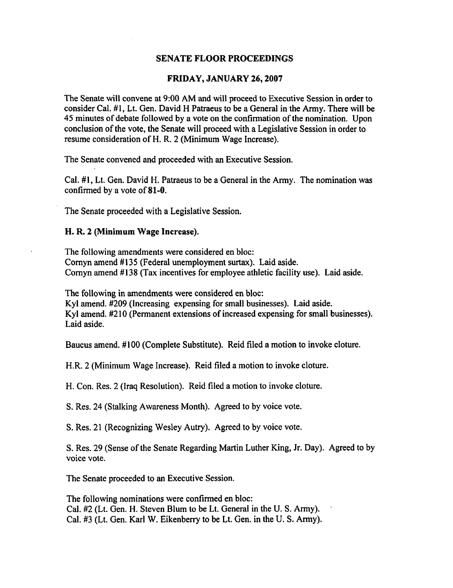#### **FRIDAY, JANUARY 26,2007**

The Senate will convene at 9:00 AM and will proceed to Executive Session in order to consider Cal. #1, Lt. Gen. David H Patraeus to be a General in the Army. There will be 45 minutes of debate followed by a vote on the confirmation of the nomination. Upon conclusion of the vote, the Senate will proceed with a Legislative Session in order to resume consideration of H. R. 2 (Minimum Wage Increase).

The Senate convened and proceeded with an Executive Session.

Cal. **#I,** Lt. Gen. David H. Patraeus to be a General in the Army. The nomination was confirmed by a vote of 81-0.

The Senate proceeded with a Legislative Session.

#### **H. R. 2 (Minimum Wage Increase).**

The following amendments were considered en bloc: Cornyn amend #135 (Federal unemployment surtax). Laid aside. Cornyn amend #138 (Tax incentives for employee athletic facility use). Laid aside.

The following in amendments were considered en bloc: Kyl amend. #209 (Increasing expensing for small businesses). Laid aside. Kyl amend. #2 10 (Permanent extensions of increased expensing for small businesses). Laid aside.

Baucus amend. #100 (Complete Substitute). Reid filed a motion to invoke cloture.

H.R. 2 (Minimum Wage Increase). Reid filed a motion to invoke cloture.

H. Con. Res. 2 (Iraq Resolution). Reid filed a motion to invoke cloture.

S. Res. 24 (Stalking Awareness Month). Agreed to by voice vote.

S. Res. 21 (Recognizing Wesley Autry). Agreed to by voice vote.

S. Res. 29 (Sense of the Senate Regarding Martin Luther King, Jr. Day). Agreed to by voice vote.

The Senate proceeded to an Executive Session.

The following nominations were confirmed en bloc: Cal. #2 (Lt. Gen. H. Steven Blum to be Lt. General in the U. S. Army). Cal. **#3** (Lt. Gen. Karl W. Eikenberry to be Lt. Gen. in the U. S. Army).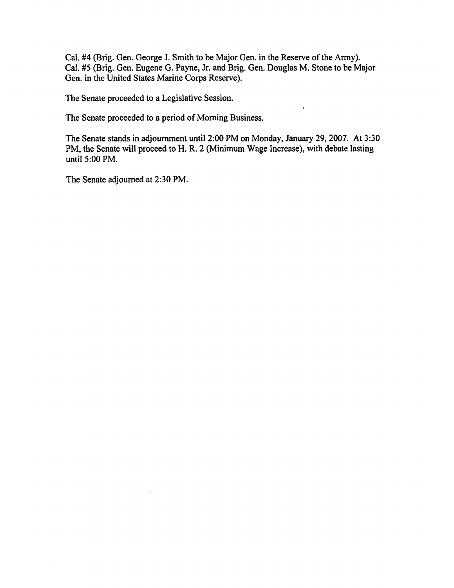Cal. **#4** (Brig. Gen. George J. Smith to be Major Gen. in the Reserve of the **Army).**  Cal. **#5** (Brig. Gen. Eugene G. Payne, Jr. and Brig. Gen. Douglas M. Stone to **be** Major Gen. in the United States Marine Corps Reserve).

The Senate proceeded to a Legislative Session.

The Senate proceeded to a period of Morning Business.

The Senate stands in adjournment until 2:00 PM on Monday, January 29,2007. At 3:30 PM, the Senate will proceed to H. R. 2 (Minimum Wage Increase), with debate lasting until  $5:00$  PM.

The Senate adjourned at 2:30 PM.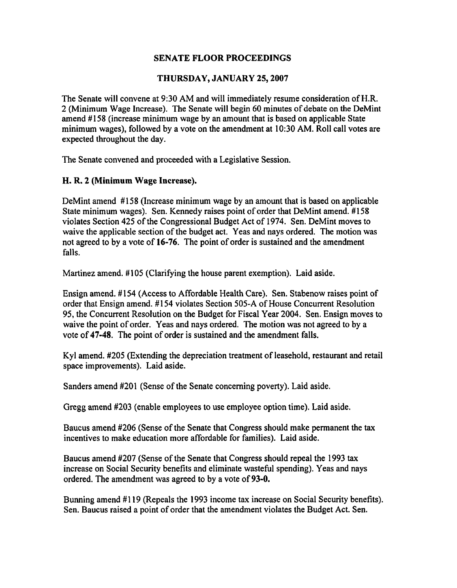## **THURSDAY, JANUARY 25,2007**

The Senate will convene at 9:30 AM and will immediately resume consideration of H.R. 2 (Minimum Wage Increase). The Senate will begin 60 minutes of debate on the DeMint amend #158 (increase minimum wage by an amount that is based on applicable State minimum wages), followed by a vote on the amendment at 10:30 AM. Roll call votes are expected throughout the day.

The Senate convened and proceeded with a Legislative Session.

## **H. R. 2 (Minimum Wage Increase).**

DeMint amend #158 (Increase minimum wage by an amount that is based on applicable State minimum wages). Sen. Kennedy raises point of order that DeMint amend. #I58 violates Section 425 of the Congressional Budget Act of 1974. Sen. DeMint moves to waive the applicable section of the budget act. Yeas and nays ordered. The motion was not agreed to by a vote of **16-76.** The point of order is sustained and the amendment falls.

Martinez amend. #I05 (Clarifying the house parent exemption). Laid aside.

Ensign amend. # 154 (Access to Affordable Health Care). Sen. Stabenow raises point of order that Ensign amend. #I54 violates Section 505-A of House Concurrent Resolution 95, the Concurrent Resolution on the Budget for Fiscal Year 2004. Sen. Ensign moves to waive the point of order. Yeas and nays ordered. The motion was not agreed to by a vote of 47-48. The point of order is sustained and the amendment falls.

Kyl amend. #205 (Extending the depreciation treatment of leasehold, restaurant and retail space improvements). Laid aside.

Sanders amend #201 (Sense of the Senate concerning poverty). Laid aside.

Gregg amend #203 (enable employees to use employee option time). Laid aside.

Baucus amend #206 (Sense of the Senate that Congress should make permanent the **tax**  incentives to make education more affordable for families). Laid aside.

Baucus amend #207 (Sense of the Senate that Congress should repeal the 1993 **tax**  increase on Social Security benefits and eliminate wasteful spending). Yeas and nays ordered. The amendment was agreed to by a vote of **93-0.** 

Bunning amend #119 (Repeals the 1993 income tax increase on Social Security benefits). Sen. Baucus raised a point of order that the amendment violates the Budget Act. Sen.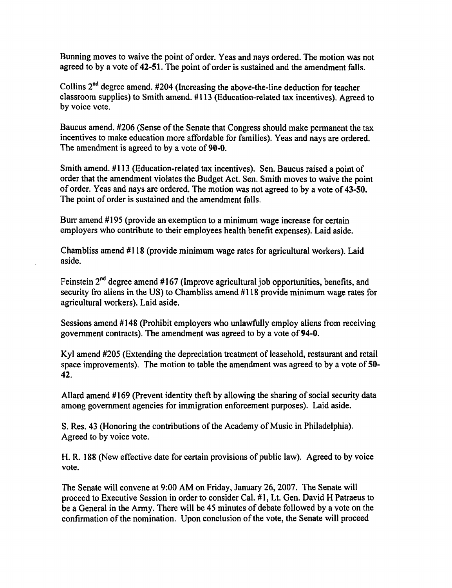Bunning moves to waive the point of order. Yeas and nays ordered. The motion was not agreed to by a vote of **42-51.** The point of order is sustained and the amendment falls.

Collins **2"d** degree amend. **#204** (Increasing the above-the-line deduction for teacher classroom supplies) to Smith amend. # 1 13 (Education-related tax incentives). Agreed to by voice vote.

Baucus amend. #206 (Sense of the Senate that Congress should make permanent the tax incentives to make education more affordable for families). Yeas and nays are ordered. The amendment is agreed to by a vote of **90-0.** 

Smith amend. #113 (Education-related tax incentives). Sen. Baucus raised a point of order that the amendment violates the Budget Act. Sen. Smith moves to waive the point of order. Yeas and nays are ordered. The motion was not agreed to by a vote of **43-50.**  The point of order is sustained and the amendment falls.

Burr amend #195 (provide an exemption to a minimum wage increase for certain employers who contribute to their employees health benefit expenses). Laid aside.

Chambliss amend #I18 (provide minimum wage rates for agricultural workers). Laid aside.

Feinstein  $2^{nd}$  degree amend #167 (Improve agricultural job opportunities, benefits, and security fro aliens in the US) to Chambliss amend #118 provide minimum wage rates for agricultural workers). Laid aside.

Sessions amend # 148 (Prohibit employers who unlawfully employ aliens from receiving government contracts). The amendment was agreed to by a vote of **94-0.** 

Kyl amend #205 (Extending the depreciation treatment of leasehold, restaurant and retail space improvements). The motion to table the amendment was agreed to by a vote of **50- 42.** 

Allard amend #169 (Prevent identity theft by allowing the sharing of social security data among government agencies for immigration enforcement purposes). Laid aside.

S. Res. 43 (Honoring the contributions of the Academy of Music in Philadelphia). Agreed to by voice vote.

**H. R.** 188 (New effective date for certain provisions of public law). Agreed to by voice vote.

The Senate will convene at 9:00 AM on Friday, January 26,2007. The Senate will proceed to Executive Session in order to consider Cal. # 1, Lt. Gen. David H Patraeus to be a General in the Army. There will be 45 minutes of debate followed by a vote on the confirmation of the nomination. Upon conclusion of the vote, the Senate will proceed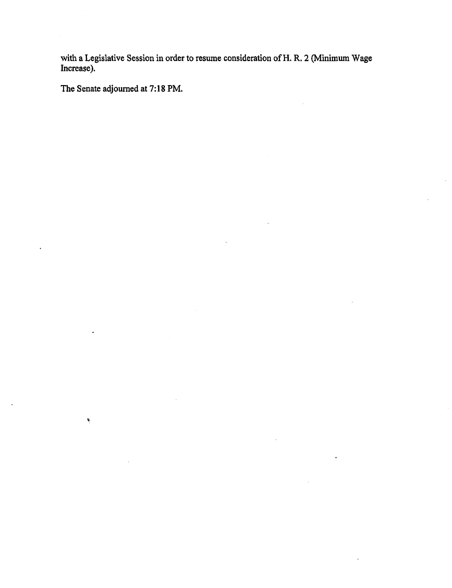**with a Legislative Session in order to resume consideration of H. R. 2 (Minimum Wage Increase).** 

**The Senate adjourned at 7: 1 8 PM.** 

 $\tilde{\pmb{\rho}}$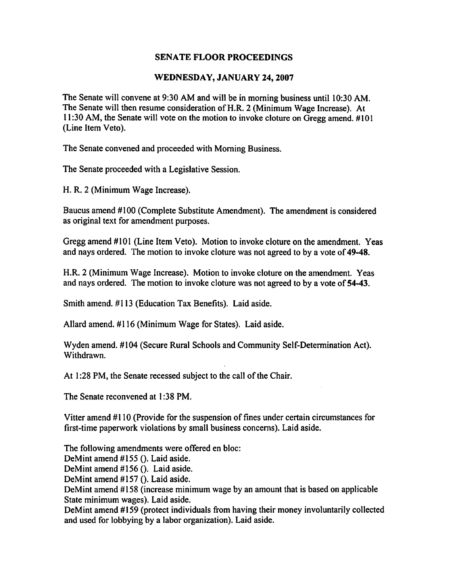## **WEDNESDAY, JANUARY 24,2007**

The Senate will convene at 9:30 AM and will be in morning business until 10:30 AM. The Senate will then resume consideration of **H.R.** 2 (Minimum Wage Increase). At 11:30 AM, the Senate will vote on the motion to invoke cloture on Gregg amend. #lo1 (Line Item Veto).

The Senate convened and proceeded with Morning Business.

The Senate proceeded with a Legislative Session.

H. R. 2 (Minimum Wage Increase).

Baucus amend #100 (Complete Substitute Amendment). The amendment is considered as original text for amendment purposes.

Gregg amend #lo1 (Line Item Veto). Motion to invoke cloture on the amendment. Yeas and nays ordered. The motion to invoke cloture was not agreed to by a vote of **49-48.** 

**H.R.** 2 (Minimum Wage Increase). Motion to invoke cloture on the amendment. Yeas and nays ordered. The motion to invoke cloture was not agreed to by a vote of 54-43.

Smith amend. #I13 (Education Tax Benefits). Laid aside.

Allard amend. #I16 (Minimum Wage for States). Laid aside.

Wyden amend. #104 (Secure Rural Schools and Community Self-Determination Act). Withdrawn.

At 1:28 PM, the Senate recessed subject to the call of the Chair.

The Senate reconvened at **1** :38 PM.

Vitter amend #110 (Provide for the suspension of fines under certain circumstances for first-time paperwork violations by small business concerns). Laid aside.

The following amendments were offered en bloc:

DeMint amend #155 (). Laid aside.

DeMint amend #I56 (). Laid aside.

DeMint amend #157 (). Laid aside.

DeMint amend #I58 (increase minimum wage by an amount that is based on applicable State minimum wages). Laid aside.

DeMint amend #159 (protect individuals from having their money involuntarily collected and used for lobbying by a labor organization). Laid aside.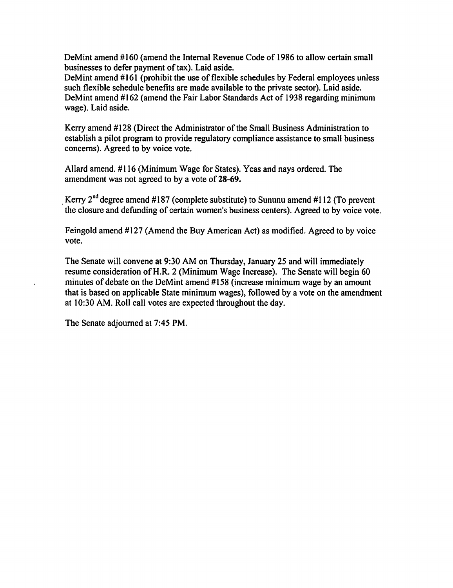DeMint amend #160 (amend the Internal Revenue Code of 1986 to allow certain small businesses to defer payment of tax). Laid aside.

DeMint amend #161 (prohibit the use of flexible schedules by Federal employees unless such flexible schedule benefits are made available to the private sector). Laid aside. DeMint amend #162 (amend the Fair Labor Standards Act of 1938 regarding minimum wage). Laid aside.

Kerry amend #I28 (Direct the Administrator of the Small Business Administration to establish a pilot program to provide regulatory compliance assistance to small business concerns). Agreed to by voice vote.

Allard amend. #I16 (Minimum Wage for States). Yeas and nays ordered. The amendment was not agreed to by a vote of 28-69.

, Kerry 2" degree amend **#187** (complete substitute) to Sununu amend **#I12** (To prevent the closure and defunding of certain women's business centers). Agreed to by voice vote.

Feingold amend #127 (Amend the Buy American Act) as modified. Agreed to by voice vote.

The Senate will convene at 9:30 AM on Thursday, January 25 and will immediately resume consideration of H.R. 2 (Minimum Wage Increase). The Senate will begin 60 minutes of debate on the DeMint amend #158 (increase minimum wage by an amount that is based on applicable State minimum wages), followed by a vote on the amendment at 10:30 AM. Roll call votes are expected throughout the day.

The Senate adjourned at 7:45 PM.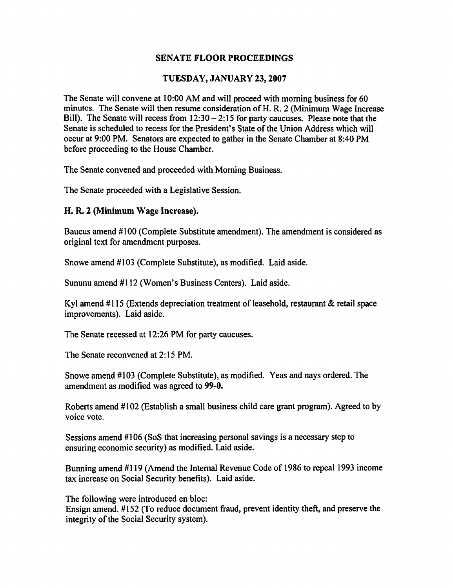#### **TUESDAY, JANUARY 23,2007**

The Senate will convene at 10:OO AM and will proceed with morning business for 60 minutes. The Senate will then resume consideration of H. R. 2 (Minimum Wage Increase Bill). The Senate will recess from  $12:30 - 2:15$  for party caucuses. Please note that the Senate is scheduled to recess for the President's State of the Union Address which will occur at 9:00 PM. Senators are expected to gather in the Senate Chamber at 8:40 PM before proceeding to the House Chamber.

The Senate convened and proceeded with Morning Business.

The Senate proceeded with a Legislative Session.

#### **H. R. 2 (Minimum Wage Increase).**

Baucus amend #lo0 (Complete Substitute amendment). The amendment is considered as original text for amendment purposes.

Snowe amend #I03 (Complete Substitute), as modified. Laid aside.

Sununu amend #I12 (Women's Business Centers). Laid aside.

Kyl amend #I15 (Extends depreciation treatment of leasehold, restaurant & retail space improvements). Laid aside.

The Senate recessed at 12:26 PM for party caucuses.

The Senate reconvened at 2: 15 PM.

Snowe amend #lo3 (Complete Substitute), **as** modified. Yeas and nays ordered. The amendment as modified was agreed to **99-0.** 

Roberts amend #lo2 (Establish a small business child care grant program). Agreed to by voice vote.

Sessions amend #lo6 (SoS that increasing personal savings is a necessary step to ensuring economic security) as modified. Laid aside.

Bunning amend #119 (Amend the Internal Revenue Code of 1986 to repeal 1993 income tax increase on Social Security benefits). Laid aside.

The following were introduced en bloc:

Ensign amend. #152 (To reduce document fraud, prevent identity theft, and preserve the integrity of the Social Security system).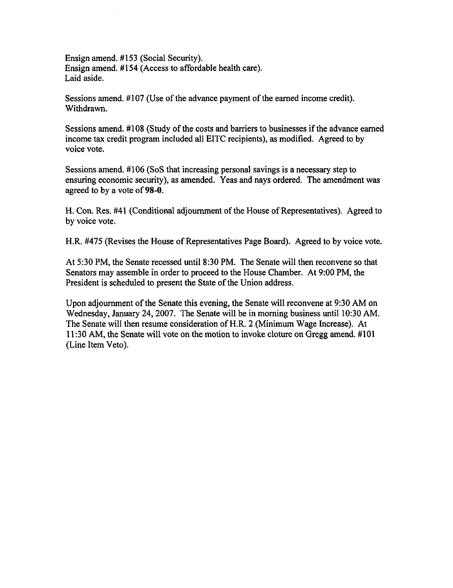Ensign amend. #153 (Social Security). Ensign amend. #I54 (Access to affordable health care). Laid aside.

Sessions amend. #107 (Use of the advance payment of the earned income credit). Withdrawn.

Sessions amend. **#I08** (Study of the costs and barriers to businesses if the advance earned income tax credit program included all EITC recipients), as modified. Agreed to by voice vote.

Sessions amend. #I06 (SoS that increasing personal savings is a necessary step to ensuring economic security), as amended. Yeas and nays ordered. The amendment was agreed to by a vote of 98-0.

H. Con. Res. #41 (Conditional adjournment of the House of Representatives). Agreed to by voice vote.

H.R. **#475** (Revises the House of Representatives Page Board). Agreed to by voice vote.

At **530** PM, the Senate recessed until **8:30** PM. The Senate will then reconvene so that Senators may assemble in order to proceed to the House Chamber. At 9:00 PM, the President is scheduled to present the State of the Union address.

Upon adjournment of the Senate this evening, the Senate will reconvene at 9:30 AM on Wednesday, January 24,2007. The Senate will be in morning business until 10:30 AM. The Senate will then resume consideration of H.R. 2 (Minimum Wage Increase). At 11 :30 AM, the Senate will vote on the motion to invoke cloture on Gregg amend. #I01 (Line Item Veto).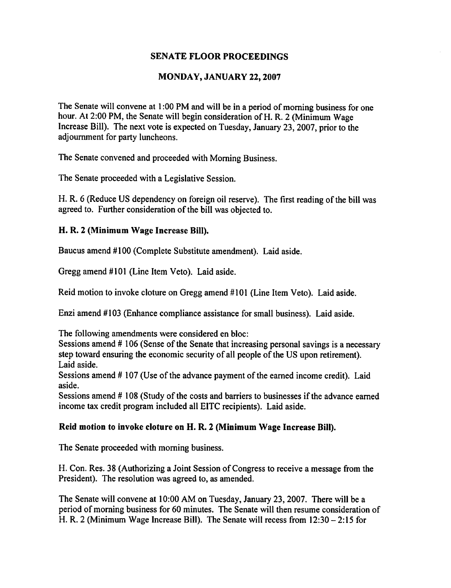## **MONDAY, JANUARY 22,2007**

The Senate will convene at 1 :00 PM and will be in a period of morning business for one hour. At 2:00 PM, the Senate will begin consideration of H. R. 2 (Minimum Wage Increase Bill). The next vote is expected on Tuesday, January 23,2007, prior to the adjournment for party luncheons.

The Senate convened and proceeded with Morning Business.

The Senate proceeded with a Legislative Session.

H. R. 6 (Reduce US dependency on foreign oil reserve). The first reading of the bill was agreed to, Further consideration of the bill was objected to.

## **H. R. 2 (Minimum Wage Increase Bill).**

Baucus amend #100 (Complete Substitute amendment). Laid aside.

Gregg amend #101 (Line Item Veto). Laid aside.

Reid motion to invoke cloture on Gregg amend # 101 (Line Item Veto). Laid aside.

Enzi amend # 103 (Enhance compliance assistance for small business). Laid aside.

The following amendments were considered en bloc:

Sessions amend # 106 (Sense of the Senate that increasing personal savings is a necessary step toward ensuring the economic security of all people of the US upon retirement). Laid aside.

Sessions amend # 107 (Use of the advance payment of the earned income credit). Laid aside.

Sessions amend # 108 (Study of the costs and barriers to businesses if the advance earned income tax credit program included all EITC recipients). Laid aside.

# **Reid motion to invoke cloture on H. R. 2 (Minimum Wage Increase Bill).**

The Senate proceeded with morning business.

H. Con. Res. 38 (Authorizing a Joint Session of Congress to receive a message from the President). The resolution was agreed to, as amended.

The Senate will convene at 10:OO AM on Tuesday, January 23,2007. There will be a period of morning business for 60 minutes. The Senate will then resume consideration of H. R. 2 (Minimum Wage Increase Bill). The Senate will recess from  $12:30 - 2:15$  for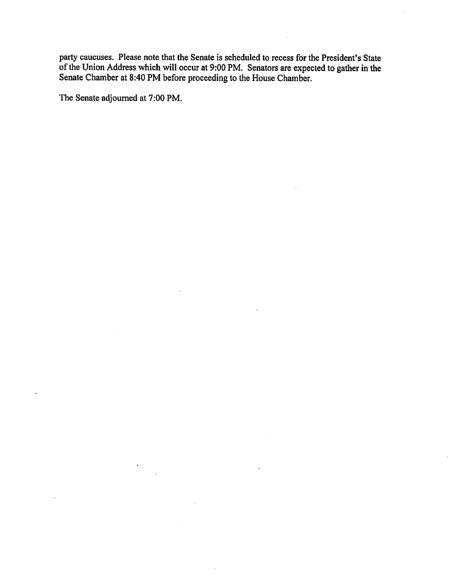**party caucuses. Please note that the Senate is scheduled to recess for the President's State of the Union Address which will occur at 9:00 PM. Senators are expected to gather in the Senate Chamber at 8:40 PM before proceeding to the House Chamber.** 

**The Senate adjourned at 7:00 PM.**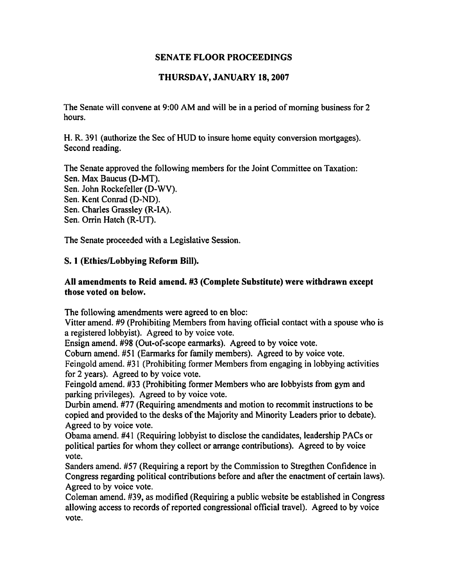# **THURSDAY, JANUARY 18,2007**

The Senate will convene at 9:00 AM and will be in a period of morning business for 2 hours.

H. R. 391 (authorize the Sec of HUD to insure home equity conversion mortgages). Second reading.

The Senate approved the following members for the Joint Committee on Taxation: Sen. Max Baucus (D-MT). Sen. John Rockefeller (D-WV). Sen. Kent Conrad (D-ND). Sen. Charles Grassley (R-IA). Sen. Orrin Hatch **(R-UT).** 

The Senate proceeded with a Legislative Session.

# **S. 1 (Ethics/Lobbying Reform Bill).**

# **All amendments to Reid amend. #3 (Complete Substitute) were withdrawn except those voted on below.**

The following amendments were agreed to en bloc:

Vitter amend. **#9** (Prohibiting Members from having official contact with a spouse who is a registered lobbyist). Agreed to by voice vote.

Ensign amend. #98 (Out-of-scope earmarks). Agreed to by voice vote.

Coburn amend. #51 (Earmarks for family members). Agreed to by voice vote.

Feingold amend. #31 (Prohibiting former Members from engaging in lobbying activities for 2 years). Agreed to by voice vote.

Feingold amend. #33 (Prohibiting former Members who are lobbyists from gym and parking privileges). Agreed to by voice vote.

Durbin amend. #77 (Requiring amendments and motion to recommit instructions to be copied and provided to the desks of the Majority and Minority Leaders prior to debate). Agreed to by voice vote.

Obarna amend. #41 (Requiring lobbyist to disclose the candidates, leadership PACs or political parties for whom they collect or arrange contributions). Agreed to by voice vote.

Sanders amend. #57 (Requiring a report by the Commission to Stregthen Confidence in Congress regarding political contributions before and after the enactment of certain laws). Agreed to by voice vote.

Coleman amend. #39, as modified (Requiring a public website be established in Congress allowing access to records of reported congressional official travel). Agreed to by voice vote.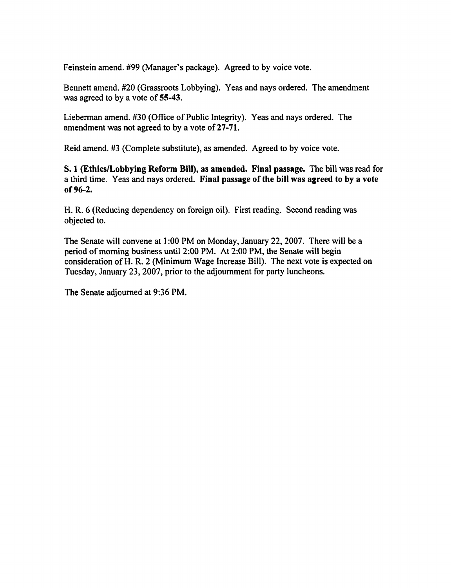Feinstein amend. #99 (Manager's package). Agreed to by voice vote.

Bennett amend. #20 (Grassroots Lobbying). Yeas and nays ordered. The amendment was agreed to by a vote of 55-43.

Lieberman amend. #30 (Office of Public Integrity). Yeas and nays ordered. The amendment was not agreed to by a vote of **27-71.** 

Reid amend. #3 (Complete substitute), as amended. Agreed to by voice vote.

**S. 1 (EthicsLobbying Reform** Bill), **as amended.** Final **passage.** The bill was read for a third time. Yeas and nays ordered. Final **passage of the bill was agreed to by a vote of 96-2.** 

H. R. 6 (Reducing dependency on foreign oil). First reading. Second reading was objected to.

The Senate will convene at 1 :00 PM on Monday, January 22,2007. There will be a period of morning business until 2:00 PM. At 2:00 PM, the Senate will begin consideration of H. R. 2 (Minimum Wage Increase Bill). The next vote is expected on Tuesday, January 23,2007, prior to the adjournment for party luncheons.

The Senate adjourned at 9:36 PM.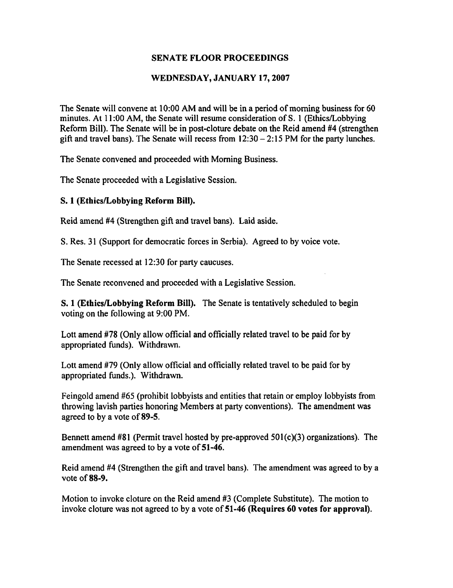## **WEDNESDAY, JANUARY 17,2007**

The Senate will convene at 10:OO AM and will be in a period of morning business for 60 minutes. At 1 1 :00 AM, the Senate will resume consideration of S. 1 (Ethics/Lobbying Reform Bill). The Senate will be in post-cloture debate on the Reid amend **#4** (strengthen gift and travel bans). The Senate will recess from  $12:30 - 2:15$  PM for the party lunches.

The Senate convened and proceeded with Morning Business.

The Senate proceeded with a Legislative Session.

## **S. 1 (Ethics/Lobbying Reform Bill).**

Reid amend **#4** (Strengthen gift and travel bans). Laid aside.

S. Res. 31 (Support for democratic forces in Serbia). Agreed to by voice vote.

The Senate recessed at 12:30 for party caucuses.

The Senate reconvened and proceeded with a Legislative Session.

**S. 1 (Ethics/Lobbying Reform Bill).** The Senate is tentatively scheduled to begin voting on the following at 9:00 PM.

Lott amend #78 (Only allow official and officially related travel to be paid for by appropriated funds). Withdrawn.

Lott amend #79 (Only allow official and officially related travel to be paid for by appropriated funds.). Withdrawn.

Feingold amend #65 (prohibit lobbyists and entities that retain or employ lobbyists from throwing lavish parties honoring Members at party conventions). The amendment was agreed to by a vote of **89-5.** 

Bennett amend #81 (Permit travel hosted by pre-approved 501(c)(3) organizations). The amendment was agreed to by a vote of **51-46.** 

Reid amend **#4** (Strengthen the gift and travel bans). The amendment was agreed to by a vote of **88-9.** 

Motion to invoke cloture on the Reid amend #3 (Complete Substitute). The motion to invoke cloture was not agreed to by a vote of **51-46 (Requires 60 votes for approval).**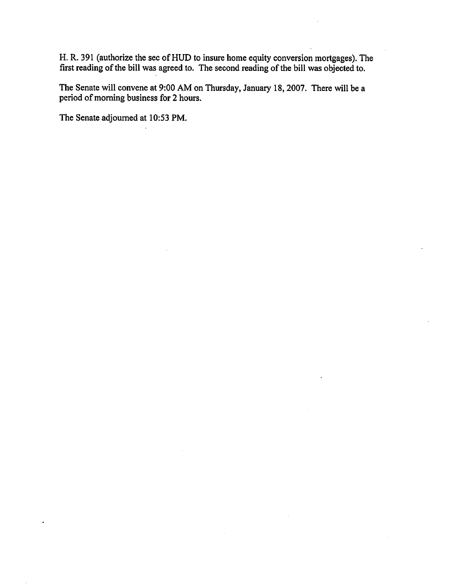**14.** R. 391 (authorize the sec of HUD to insure home equity conversion mortgages). The first reading of the bill was agreed to. The second reading of the bill was objected to.

The Senate will convene at **9:00** AM on Thursday, January 18,2007. There will be a period of morning business for 2 hours.

The Senate adjourned at **1053** PM.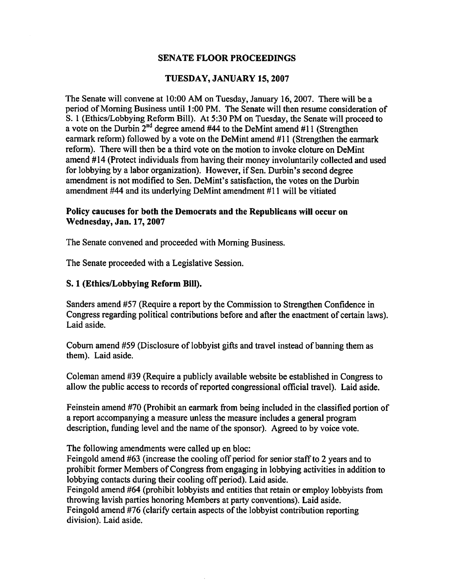#### **TUESDAY, JANUARY 15,2007**

The Senate will convene at 10:OO AM on Tuesday, January 16,2007. There will be a period of Morning Business until 1 :00 PM. The Senate will then resume consideration of S. 1 (Ethics/Lobbying Reform Bill). At 5:30 PM on Tuesday, the Senate will proceed to a vote on the Durbin **2nd** degree amend **#44** to the DeMint amend #11 (Strengthen earmark reform) followed by a vote on the DeMint amend #I1 (Strengthen the earmark reform). There will then be a third vote on the motion to invoke cloture on DeMint amend #14 (Protect individuals from having their money involuntarily collected and used for lobbying by a labor organization). However, if Sen. Durbin's second degree amendment is not modified to Sen. DeMint's satisfaction, the votes on the Durbin amendment #44 and its underlying DeMint amendment #11 will be vitiated

#### **Policy caucuses for both the Democrats and the Republicans will occur on Wednesday, Jan. 17,2007**

The Senate convened and proceeded with Morning Business.

The Senate proceeded with a Legislative Session.

#### **S. 1 (Ethics/Lobbying Reform Bill).**

Sanders amend #57 (Require a report by the Commission to Strengthen Confidence in Congress regarding political contributions before and after the enactment of certain laws). Laid aside.

Coburn amend #59 (Disclosure of lobbyist gifts and travel instead of banning them as them). Laid aside.

Coleman amend #39 (Require a publicly available website be established in Congress to allow the public access to records of reported congressional oficial travel). Laid aside.

Feinstein amend #70 (Prohibit an earmark from being included in the classified portion of a report accompanying a measure unless the measure includes a general program description, finding level and the name of the sponsor). Agreed to by voice vote.

The following amendments were called up en bloc:

Feingold amend #63 (increase the cooling off period for senior staff to 2 years and to prohibit former Members of Congress from engaging in lobbying activities in addition to lobbying contacts during their cooling off period). Laid aside.

Feingold amend #64 (prohibit lobbyists and entities that retain or employ lobbyists from throwing lavish parties honoring Members at party conventions). Laid aside.

Feingold amend #76 (clarify certain aspects of the lobbyist contribution reporting division). Laid aside.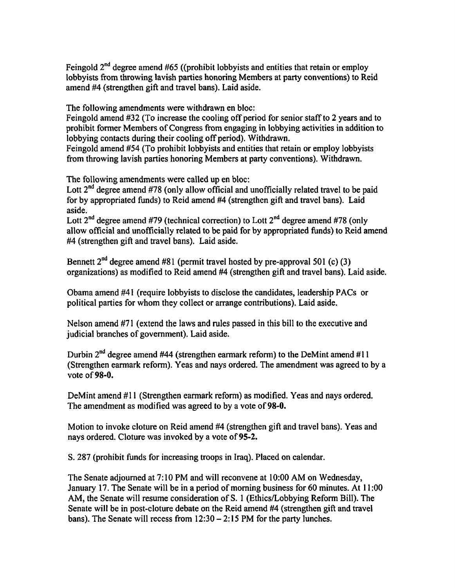Feingold  $2^{nd}$  degree amend #65 ((prohibit lobbyists and entities that retain or employ lobbyists from throwing lavish parties honoring Members at party conventions) to Reid amend **#4** (strengthen gift and travel bans). Laid aside.

The following amendments were withdrawn en bloc:

Feingold amend #32 (To increase the cooling off period for senior staff to 2 years and to prohibit former Members of Congress from engaging in lobbying activities in addition to lobbying contacts during their cooling off period). Withdrawn.

Feingold amend #54 (To prohibit lobbyists and entities that retain or employ lobbyists from throwing lavish parties honoring Members at party conventions). Withdrawn.

The following amendments were called up en bloc:

Lott  $2<sup>nd</sup>$  degree amend #78 (only allow official and unofficially related travel to be paid for by appropriated finds) to Reid amend #4 (strengthen gift and travel bans). Laid aside.

Lott  $2^{nd}$  degree amend #79 (technical correction) to Lott  $2^{nd}$  degree amend #78 (only allow official and unofficially related to be paid for by appropriated funds) to Reid amend #4 (strengthen gift and travel bans). Laid aside.

Bennett  $2<sup>nd</sup>$  degree amend #81 (permit travel hosted by pre-approval 501 (c) (3) organizations) as modified to Reid amend #4 (strengthen gift and travel bans). Laid aside.

Obama amend #41 (require lobbyists to disclose the candidates, leadership PACs or political parties for whom they collect or arrange contributions). Laid aside.

Nelson amend **#7** 1 (extend the laws and rules passed in this bill to the executive and judicial branches of government). Laid aside.

Durbin 2nd degree amend **#44** (strengthen earmark reform) to the DeMint amend #11 (Strengthen earmark reform). Yeas and nays ordered. The amendment was agreed to by a vote of **98-0.** 

DeMint amend #11 (Strengthen earmark reform) as modified. Yeas and nays ordered. The amendment as modified was agreed to by a vote of **98-0.** 

Motion to invoke cloture on Reid amend #4 (strengthen gift and travel bans). Yeas and nays ordered. Cloture was invoked by a vote of **95-2.** 

S. 287 (prohibit funds for increasing troops in Iraq). Placed on calendar.

The Senate adjourned at 7: 10 PM and will reconvene at 10:OO AM on Wednesday, January 17. The Senate will be in a period of morning business for 60 minutes. At 11:00 AM, the Senate will resume consideration of S. 1 (Ethics/Lobbying Reform Bill). The Senate will be in post-cloture debate on the Reid amend #4 (strengthen gift and travel bans). The Senate will recess from  $12:30 - 2:15$  PM for the party lunches.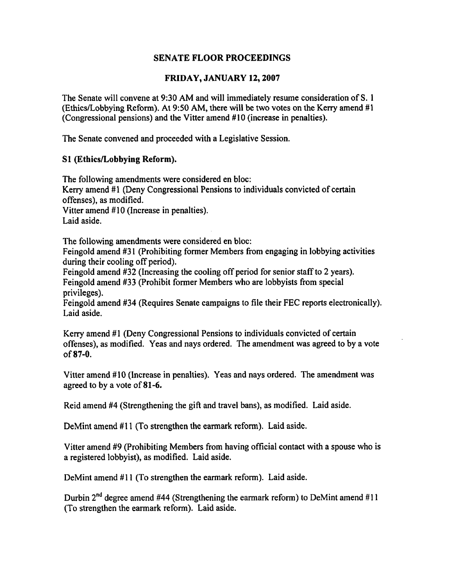## **FRIDAY, JANUARY 12,2007**

The Senate will convene at 9:30 AM and will immediately resume consideration of S. 1 (EthicsILobbying Reform). At 950 AM, there will be **two** votes on the Keny amend # 1 (Congressional pensions) and the Vitter amend # 10 (increase in penalties).

The Senate convened and proceeded with a Legislative Session.

## **S1 (Ethics/Lobbying Reform).**

The following amendments were considered en bloc: Kerry amend #1 (Deny Congressional Pensions to individuals convicted of certain offenses), as modified. Vitter amend #10 (Increase in penalties).

Laid aside.

The following amendments were considered en bloc:

Feingold amend #31 (Prohibiting former Members from engaging in lobbying activities during their cooling off period).

Feingold amend #32 (Increasing the cooling off period for senior staff to 2 years). Feingold amend #33 (Prohibit former Members who are lobbyists fiom special privileges).

Feingold amend #34 (Requires Senate campaigns to file their FEC reports electronically). Laid aside.

Kerry amend #1 (Deny Congressional Pensions to individuals convicted of certain offenses), as modified. Yeas and nays ordered. The amendment was agreed to by a vote of 87-0.

Vitter amend #10 (Increase in penalties). Yeas and nays ordered. The amendment was agreed to by a vote of 81-6.

Reid amend **#4** (Strengthening the gift and travel bans), as modified. Laid aside.

DeMint amend #11 (To strengthen the earmark reform). Laid aside.

Vitter amend **#9** (Prohibiting Members fiom having official contact with a spouse who is a registered lobbyist), as modified. Laid aside.

DeMint amend #11 (To strengthen the earmark reform). Laid aside.

Durbin **2nd** degree amend #44 (Strengthening the earmark reform) to DeMint amend # 1 1 (To strengthen the earmark reform). Laid aside.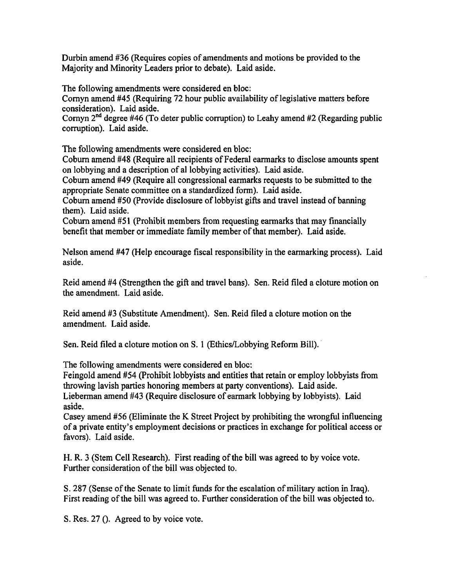Durbin amend **#36** (Requires copies of amendments and motions be provided to the Majority and Minority Leaders prior to debate). Laid aside.

The following amendments were considered en bloc:

Cornyn amend **#45** (Requiring 72 hour public availability of legislative matters before consideration). Laid aside.

Cornyn **2nd** degree **#46** (To deter public corruption) to Leahy amend #2 (Regarding public corruption). Laid aside.

The following amendments were considered en bloc:

Coburn amend **#48** (Require all recipients of Federal earmarks to disclose amounts spent on lobbying and a description of a1 lobbying activities). Laid aside.

Coburn amend **#49** (Require all congressional earmarks requests to be submitted to the appropriate Senate committee on a standardized form). Laid aside.

Coburn amend **#50** (Provide disclosure of lobbyist gifts and travel instead of banning them). Laid aside.

Coburn amend #51 (Prohibit members from requesting earmarks that may financially benefit that member or immediate family member of that member). Laid aside.

Nelson amend **#47** (Help encourage fiscal responsibility in the earmarking process). Laid aside.

Reid amend **#4** (Strengthen the gift and travel bans). Sen. Reid filed a cloture motion on the amendment. Laid aside.

Reid amend **#3** (Substitute Amendment). Sen. Reid filed a cloture motion on the amendment. Laid aside.

Sen. Reid filed a cloture motion on S. 1 (Ethics/Lobbying Reform Bill).

The following amendments were considered en bloc:

Feingold amend **#54** (Prohibit lobbyists and entities that retain or employ lobbyists fiom throwing lavish parties honoring members at party conventions). Laid aside. Lieberman amend **#43** (Require disclosure of earmark lobbying by lobbyists). Laid aside.

Casey amend #56 (Eliminate the K Street Project by prohibiting the wrongful influencing of a private entity's employment decisions or practices in exchange for political access or favors). Laid aside.

H. R. **3** (Stem Cell Research). First reading of the bill was agreed to by voice vote. Further consideration of the bill was objected to.

S. **287** (Sense of the Senate to limit hnds for the escalation of military action in Iraq). First reading of the bill was agreed to. Further consideration of the bill was objected to.

S. Res. **27** 0. Agreed to by voice vote.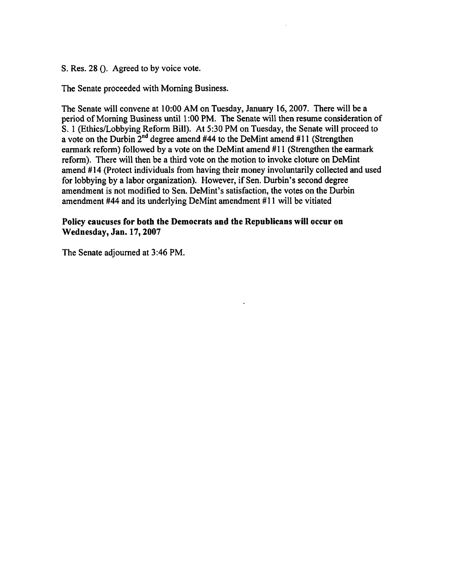S. Res. 28 (). Agreed to by voice vote.

The Senate proceeded with Morning Business.

The Senate will convene at **10:OO** AM on Tuesday, January **16,2007.** There will be a period of Morning Business until 1:00 PM. The Senate will then resume consideration of S. 1 (Ethics/Lobbying Reform Bill). At 5:30 PM on Tuesday, the Senate will proceed to a vote on the Durbin **2nd** degree amend #44 to the DeMint amend **#11** (Strengthen earmark reform) followed by a vote on the DeMint amend **#11** (Strengthen the earmark reform). There will then be a third vote on the motion to invoke cloture on DeMint amend # **14** (Protect individuals from having their money involuntarily collected and used for lobbying by a labor organization). However, if Sen. Durbin's second degree amendment is not modified to Sen. DeMint's satisfaction, the votes on the Durbin amendment #44 and its underlying DeMint amendment #11 will be vitiated

## **Policy caucuses for both the Democrats and the Republicans will occur on Wednesday, Jan. 17,2007**

The Senate adjourned at **3:46** PM.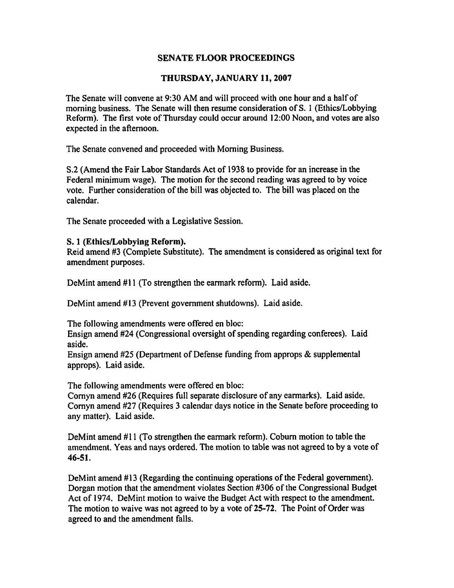## **THURSDAY, JANUARY 11,2007**

The Senate will convene at 9:30 AM and will proceed with one hour and a half of morning business. The Senate will then resume consideration of S. 1 (Ethics/Lobbying Reform). The first vote of Thursday could occur around 12:OO Noon, and votes are also expected in the afternoon.

The Senate convened and proceeded with Morning Business.

S.2 (Amend the Fair Labor Standards Act of 1938 to provide for an increase in the Federal minimum wage). The motion for the second reading was agreed to by voice vote. Further consideration of the bill was objected to. The bill was placed on the calendar.

The Senate proceeded with a Legislative Session.

#### **S. 1 (Ethics/Lobbying Reform).**

Reid amend #3 (Complete Substitute). The amendment is considered as original text for amendment purposes.

DeMint amend #11 (To strengthen the earmark reform). Laid aside.

DeMint amend **#13** (Prevent government shutdowns). Laid aside.

The following amendments were offered en bloc:

Ensign amend #24 (Congressional oversight of spending regarding conferees). Laid aside.

Ensign amend #25 (Department of Defense funding from approps & supplemental approps). Laid aside.

The following amendments were offered en bloc:

Cornyn amend #26 (Requires full separate disclosure of any earmarks). Laid aside. Cornyn amend #27 (Requires 3 calendar days notice in the Senate before proceeding to any matter). Laid aside.

DeMint amend #11 (To strengthen the earmark reform). Coburn motion to table the amendment. Yeas and nays ordered. The motion to table was not agreed to by a vote of **46-51.** 

DeMint amend #13 (Regarding the continuing operations of the Federal government). Dorgan motion that the amendment violates Section #306 of the Congressional Budget Act of 1974. DeMint motion to waive the Budget Act with respect to the amendment. The motion to waive was not agreed to by a vote of **25-72.** The Point of Order was agreed to and the amendment falls.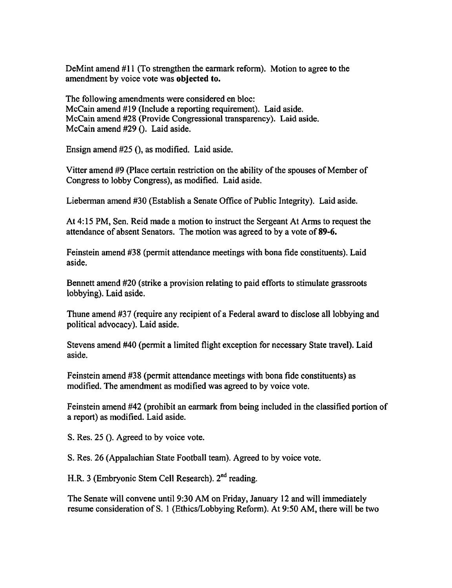DeMint amend **#11** (To strengthen the earmark reform). Motion to agree to the amendment by voice vote was objected to.

The following amendments were considered en bloc: McCain amend **#19** (Include a reporting requirement). Laid aside. McCain amend **#28** (Provide Congressional transparency). Laid aside. McCain amend **#29** (). Laid aside.

Ensign amend **#25** (), as modified. Laid aside.

Vitter amend **#9** (Place certain restriction on the ability of the spouses of Member of Congress to lobby Congress), as modified. Laid aside.

Lieberman amend **#30** (Establish a Senate Office of Public Integrity). Laid aside.

At 4: **15** PM, Sen. Reid made a motion to instruct the Sergeant At Arms to request the attendance of absent Senators. The motion was agreed to by a vote of **89-6.** 

Feinstein amend **#38** (permit attendance meetings with bona fide constituents). Laid aside.

Bennett amend **#20** (strike a provision relating to paid efforts to stimulate grassroots lobbying). Laid aside.

Thune amend #37 (require any recipient of a Federal award to disclose all lobbying and political advocacy). Laid aside.

Stevens amend #40 (permit a limited flight exception for necessary State travel). Laid aside.

Feinstein amend **#38** (permit attendance meetings with bona fide constituents) as modified. The amendment as modified was agreed to by voice vote.

Feinstein amend #42 (prohibit an earmark from being included in the classified portion of a report) as modified. Laid aside.

S. Res. **25** (). Agreed to by voice vote.

S. Res. 26 (Appalachian State Football team). Agreed to by voice vote.

H.R. 3 (Embryonic Stem Cell Research). **2nd** reading.

The Senate will convene until **9:30** AM on Friday, January **12** and will immediately resume consideration of S. 1 (Ethics/Lobbying Reform). At **9:50** AM, there will be two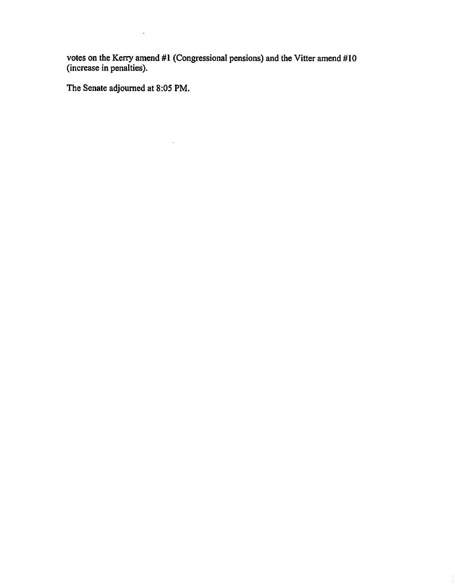**votes on the Kerry amend #1 (Congressional pensions) and the Vitter amend #10 (increase in penalties).** 

**The Senate adjourned at 8:05 PM.** 

 $\sim 10^{11}$  km  $^{-1}$ 

 $\sim 10$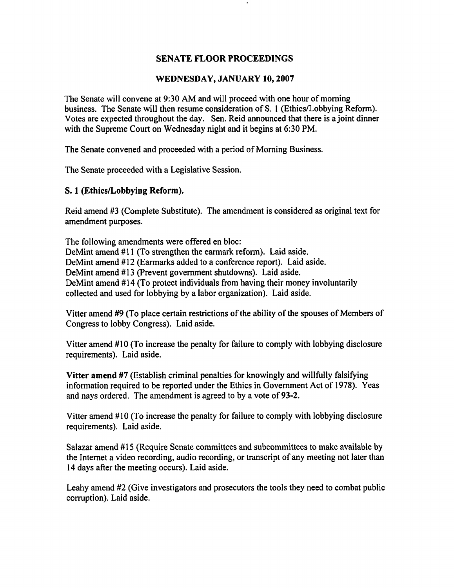### **WEDNESDAY, JANUARY 10,2007**

The Senate will convene at 9:30 AM and will proceed with one hour of morning business. The Senate will then resume consideration of S. 1 (Ethics/Lobbying Reform). Votes are expected throughout the day. Sen. Reid announced that there is a joint dinner with the Supreme Court on Wednesday night and it begins at 6:30 PM.

The Senate convened and proceeded with a period of Morning Business.

The Senate proceeded with a Legislative Session.

#### **S. 1 (Ethics/Lobbying Reform).**

Reid amend #3 (Complete Substitute). The amendment is considered as original text for amendment purposes.

The following amendments were offered en bloc: DeMint amend #11 (To strengthen the earmark reform). Laid aside. DeMint amend #12 (Earmarks added to a conference report). Laid aside. DeMint amend #13 (Prevent government shutdowns). Laid aside. DeMint amend #14 (To protect individuals from having their money involuntarily collected and used for lobbying by a labor organization). Laid aside.

Vitter amend #9 (To place certain restrictions of the ability of the spouses of Members of Congress to lobby Congress). Laid aside.

Vitter amend #10 (To increase the penalty for failure to comply with lobbying disclosure requirements). Laid aside.

**Vitter amend #7** (Establish criminal penalties for knowingly and willfully falsifying information required to be reported under the Ethics in Government Act of 1978). Yeas and nays ordered. The amendment is agreed to by a vote of **93-2.** 

Vitter amend #10 (To increase the penalty for failure to comply with lobbying disclosure requirements). Laid aside.

Salazar amend #15 (Require Senate committees and subcommittees to make available by the Internet a video recording, audio recording, or transcript of any meeting not later than 14 days after the meeting occurs). Laid aside.

Leahy amend **#2** (Give investigators and prosecutors the tools they need to combat public corruption). Laid aside.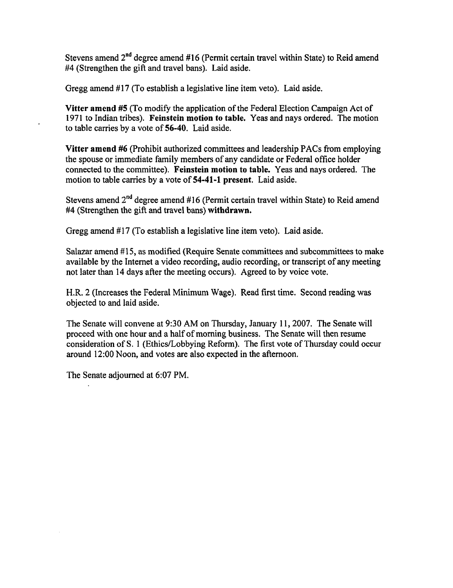Stevens amend 2<sup>nd</sup> degree amend #16 (Permit certain travel within State) to Reid amend #4 (Strengthen the gift and travel bans). Laid aside.

Gregg amend #17 (To establish a legislative line item veto). Laid aside.

**Vitter amend #5** (To modify the application of the Federal Election Campaign Act of 1971 to Indian tribes). **Feinstein motion to table,** Yeas and nays ordered. The motion to table carries by a vote of **56-40.** Laid aside.

**Vitter amend #6** (Prohibit authorized committees and leadership PACs from employing the spouse or immediate family members of any candidate or Federal office holder connected to the committee). **Feinstein motion to table.** Yeas and nays ordered. The motion to table carries by a vote of **54-41-1 present.** Laid aside.

Stevens amend 2nd degree amend #16 (Permit certain travel within State) to Reid amend #4 (Strengthen the gift and travel bans) **withdrawn,** 

Gregg amend #17 (To establish a legislative line item veto). Laid aside.

Salazar amend **4415,** as modified (Require Senate committees and subcommittees to make available by the Internet a video recording, audio recording, or transcript of any meeting not later than 14 days after the meeting occurs). Agreed to by voice vote.

H.R. 2 (Increases the Federal Minimum Wage). Read first time, Second reading was objected to and laid aside.

The Senate will convene at 9:30 AM on Thursday, January 11, 2007. The Senate will proceed with one hour and a half of morning business. The Senate will then resume consideration of S. 1 (Ethics/Lobbying Reform). The first vote of Thursday could occur around 12:OO Noon, and votes are also expected in the afternoon.

The Senate adjourned at 6:07 PM.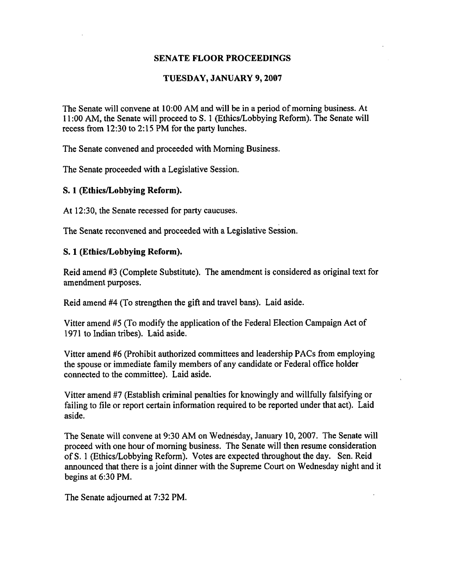#### **TUESDAY, JANUARY 9,2007**

The Senate will convene at 10:OO AM and will be in a period of morning business. At 11:00 AM, the Senate will proceed to S. 1 (Ethics/Lobbying Reform). The Senate will recess from 12:30 to 2:15 PM for the party lunches.

The Senate convened and proceeded with Morning Business.

The Senate proceeded with a Legislative Session.

#### **S. 1 (Ethics/Lobbying Reform).**

At 12:30, the Senate recessed for party caucuses.

The Senate reconvened and proceeded with a Legislative Session.

#### **S. 1 (EthicsLobbying Reform).**

Reid amend #3 (Complete Substitute). The amendment is considered as original text for amendment purposes.

Reid amend #4 (To strengthen the gift and travel bans). Laid aside.

Vitter amend **#5** (To modify the application of the Federal Election Campaign Act of 1971 to Indian tribes). Laid aside.

Vitter amend #6 (Prohibit authorized committees and leadership PACs from employing the spouse or immediate family members of any candidate or Federal office holder connected to the committee). Laid aside.

Vitter amend **#7** (Establish criminal penalties for knowingly and willfully falsifying or failing to file or report certain information required to be reported under that act). Laid aside.

The Senate will convene at **9:30** AM on Wednesday, January 10,2007. The Senate will proceed with one hour of morning business. The Senate will then resume consideration of S. 1 (Ethics/Lobbying Reform). Votes are expected throughout the day. Sen. Reid announced that there is a joint dinner with the Supreme Court on Wednesday night and it begins at 6:30 PM.

The Senate adjourned at 7:32 PM.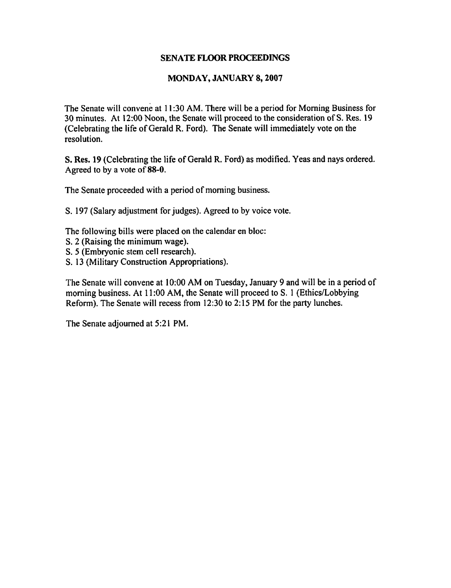#### **MONDAY, JANUARY 8,2007**

The Senate will convene at 11:30 AM. There will be a period for Morning Business for 30 minutes. At 12:OO Noon, the Senate will proceed to the consideration of S. Res. 19 (Celebrating the life of Gerald R. Ford). The Senate will immediately vote on the resolution.

S. Res. 19 (Celebrating the life of Gerald R. Ford) as modified. Yeas and nays ordered. Agreed to by a vote of **88-0.** 

The Senate proceeded with a period of morning business.

S. 197 (Salary adjustment for judges). Agreed to by voice vote.

The following bills were placed on the calendar en bloc:

- S. 2 (Raising the minimum wage).
- S. 5 (Embryonic stem cell research).
- S. 13 (Military Construction Appropriations).

The Senate will convene at 10:OO AM on Tuesday, January 9 and will be in a period of morning business. At 11:OO AM, the Senate will proceed to S. 1 (Ethics/Lobbying Reform). The Senate will recess from 12:30 to 2: 15 PM for the party lunches.

The Senate adjourned at 5:21 PM.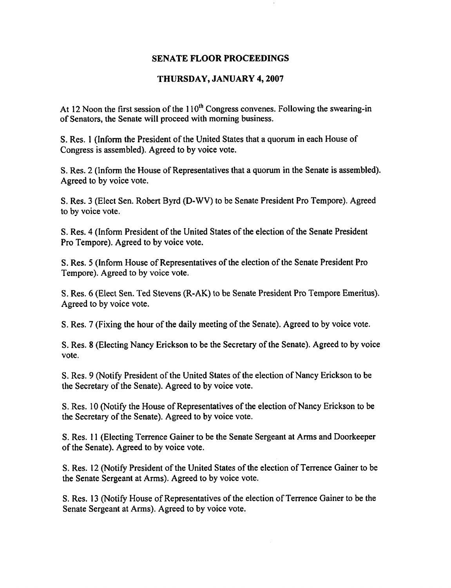## **THURSDAY, JANUARY 4,2007**

At 12 Noon the first session of the  $110<sup>th</sup>$  Congress convenes. Following the swearing-in of Senators, the Senate will proceed with morning business.

S. Res. 1 (Inform the President of the United States that a quorum in each House of Congress is assembled). Agreed to by voice vote.

S. Res. 2 (Inform the House of Representatives that a quorum in the Senate is assembled). Agreed to by voice vote.

S. Res. 3 (Elect Sen. Robert Byrd **(D-WV)** to be Senate President Pro Tempore). Agreed to by voice vote.

S. Res. 4 (Inform President of the United States of the election of the Senate President Pro Tempore). Agreed to by voice vote.

S. Res. 5 (Inform House of Representatives of the election of the Senate President Pro Tempore). Agreed to by voice vote.

S. Res. 6 (Elect Sen. Ted Stevens (R-AK) to be Senate President Pro Tempore Emeritus). Agreed to by voice vote.

S. Res. 7 (Fixing the how of the daily meeting of the Senate). Agreed to by voice vote.

S. Res. 8 (Electing Nancy Erickson to be the Secretary of the Senate). Agreed to by voice vote.

S. Res. 9 (Notify President of the United States of the election of Nancy Erickson to be the Secretary of the Senate). Agreed to by voice vote.

S. Res. 10 (Notify the House of Representatives of the election of Nancy Erickson to be the Secretary of the Senate). Agreed to by voice vote.

S. Res. I 1 (Electing Terrence Gainer to be the Senate Sergeant at Arms and Doorkeeper of the Senate). Agreed to by voice vote.

S. Res. 12 (Notify President of the United States of the election of Terrence Gainer to be the Senate Sergeant at Arms). Agreed to by voice vote.

S. Res, 13 (Notify House of Representatives of the election of Terrence Gainer to be the Senate Sergeant at Arms). Agreed to by voice vote.